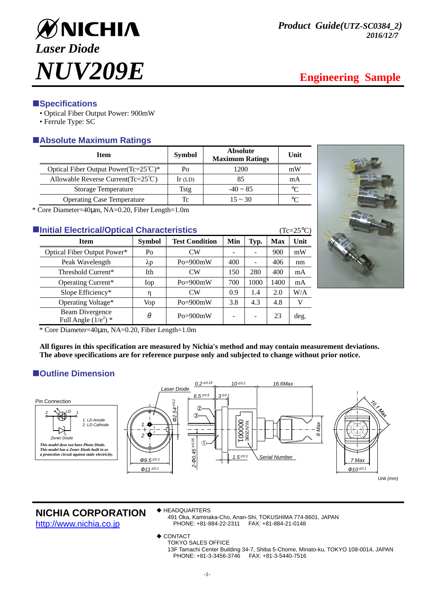

# **ESpecifications**

- Optical Fiber Output Power: 900mW
- Ferrule Type: SC

# -**Absolute Maximum Ratings**

| Item                                            | <b>Symbol</b> | <b>Absolute</b><br><b>Maximum Ratings</b> | Unit        |
|-------------------------------------------------|---------------|-------------------------------------------|-------------|
| Optical Fiber Output Power(Tc= $25^{\circ}$ C)* | Po            | 1200                                      | mW          |
| Allowable Reverse Current (Tc= $25^{\circ}$ C)  | $Ir$ (LD)     | 85                                        | mA          |
| <b>Storage Temperature</b>                      | Tstg          | $-40 \sim 85$                             | $^{\circ}C$ |
| <b>Operating Case Temperature</b>               | Tc            | $15 \approx 30$                           | °∩          |

\* Core Diameter=40µm, NA=0.20, Fiber Length=1.0m

| <b>Elnitial Electrical/Optical Characteristics</b> |                                                  |               |                              |     |                          |            | $(Tc=25^{\circ}C)$ |  |
|----------------------------------------------------|--------------------------------------------------|---------------|------------------------------|-----|--------------------------|------------|--------------------|--|
|                                                    | <b>Item</b>                                      | <b>Symbol</b> | <b>Test Condition</b><br>Min |     | Typ.                     | <b>Max</b> | Unit               |  |
|                                                    | Optical Fiber Output Power*                      | Po            | CW                           |     |                          | 900        | mW                 |  |
|                                                    | Peak Wavelength                                  | $\lambda p$   | $Po = 900mW$                 | 400 | ۰                        | 406        | nm                 |  |
|                                                    | Threshold Current*                               | Ith           | CW                           | 150 | 280                      | 400        | mA                 |  |
|                                                    | Operating Current*                               | Iop           | $Po = 900mW$                 | 700 | 1000                     | 1400       | mA                 |  |
|                                                    | Slope Efficiency*                                |               | $\overline{\rm CW}$          | 0.9 | 1.4                      | 2.0        | W/A                |  |
|                                                    | Operating Voltage*                               | Vop           | $Po = 900mW$                 | 3.8 | 4.3                      | 4.8        | V                  |  |
|                                                    | <b>Beam Divergence</b><br>Full Angle $(1/e^2)$ * | θ             | $Po = 900mW$                 |     | $\overline{\phantom{0}}$ | 23         | deg.               |  |



\* Core Diameter=40µm, NA=0.20, Fiber Length=1.0m

**All figures in this specification are measured by Nichia's method and may contain measurement deviations. The above specifications are for reference purpose only and subjected to change without prior notice.** 

# $\blacksquare$  Outline Dimension



## **NICHIA CORPORATION**

http://www.nichia.co.jp

◆ HEADQUARTERS

491 Oka, Kaminaka-Cho, Anan-Shi, TOKUSHIMA 774-8601, JAPAN PHONE: +81-884-22-2311 FAX: +81-884-21-0148

- ◆ CONTACT
	- TOKYO SALES OFFICE

13F Tamachi Center Building 34-7, Shiba 5-Chome, Minato-ku, TOKYO 108-0014, JAPAN PHONE: +81-3-3456-3746 FAX: +81-3-5440-7516